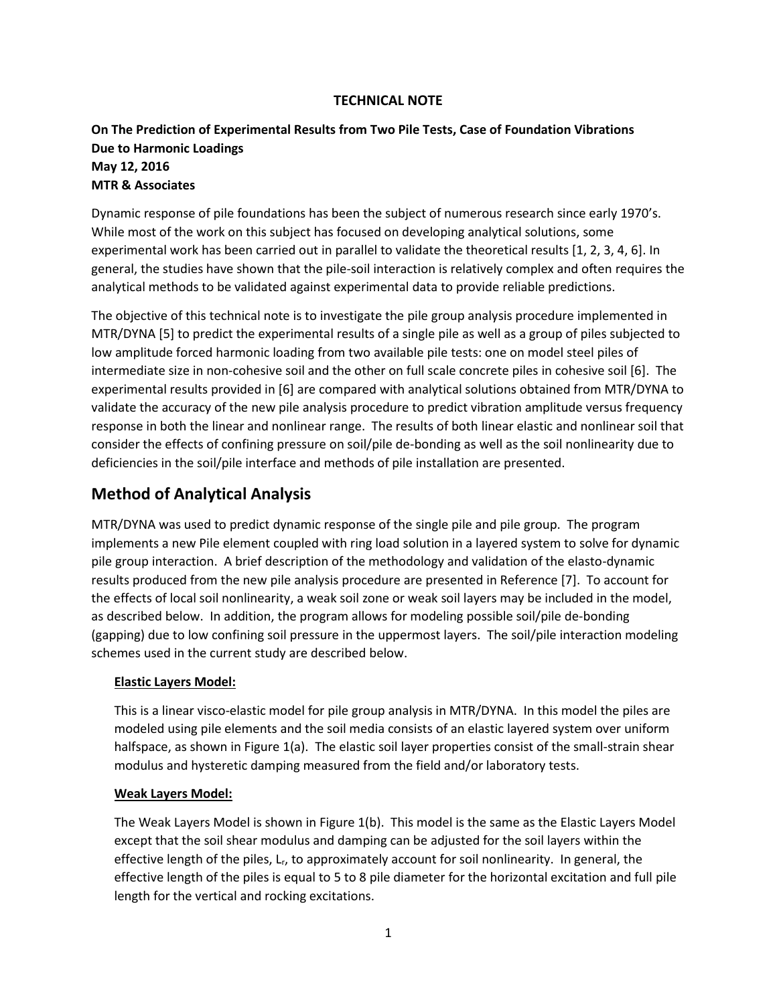## **TECHNICAL NOTE**

## **On The Prediction of Experimental Results from Two Pile Tests, Case of Foundation Vibrations Due to Harmonic Loadings May 12, 2016 MTR & Associates**

Dynamic response of pile foundations has been the subject of numerous research since early 1970's. While most of the work on this subject has focused on developing analytical solutions, some experimental work has been carried out in parallel to validate the theoretical results [1, 2, 3, 4, 6]. In general, the studies have shown that the pile-soil interaction is relatively complex and often requires the analytical methods to be validated against experimental data to provide reliable predictions.

The objective of this technical note is to investigate the pile group analysis procedure implemented in MTR/DYNA [5] to predict the experimental results of a single pile as well as a group of piles subjected to low amplitude forced harmonic loading from two available pile tests: one on model steel piles of intermediate size in non-cohesive soil and the other on full scale concrete piles in cohesive soil [6]. The experimental results provided in [6] are compared with analytical solutions obtained from MTR/DYNA to validate the accuracy of the new pile analysis procedure to predict vibration amplitude versus frequency response in both the linear and nonlinear range. The results of both linear elastic and nonlinear soil that consider the effects of confining pressure on soil/pile de-bonding as well as the soil nonlinearity due to deficiencies in the soil/pile interface and methods of pile installation are presented.

# **Method of Analytical Analysis**

MTR/DYNA was used to predict dynamic response of the single pile and pile group. The program implements a new Pile element coupled with ring load solution in a layered system to solve for dynamic pile group interaction. A brief description of the methodology and validation of the elasto-dynamic results produced from the new pile analysis procedure are presented in Reference [7]. To account for the effects of local soil nonlinearity, a weak soil zone or weak soil layers may be included in the model, as described below. In addition, the program allows for modeling possible soil/pile de-bonding (gapping) due to low confining soil pressure in the uppermost layers. The soil/pile interaction modeling schemes used in the current study are described below.

### **Elastic Layers Model:**

This is a linear visco-elastic model for pile group analysis in MTR/DYNA. In this model the piles are modeled using pile elements and the soil media consists of an elastic layered system over uniform halfspace, as shown in Figure 1(a). The elastic soil layer properties consist of the small-strain shear modulus and hysteretic damping measured from the field and/or laboratory tests.

### **Weak Layers Model:**

The Weak Layers Model is shown in Figure 1(b). This model is the same as the Elastic Layers Model except that the soil shear modulus and damping can be adjusted for the soil layers within the effective length of the piles, Lr, to approximately account for soil nonlinearity. In general, the effective length of the piles is equal to 5 to 8 pile diameter for the horizontal excitation and full pile length for the vertical and rocking excitations.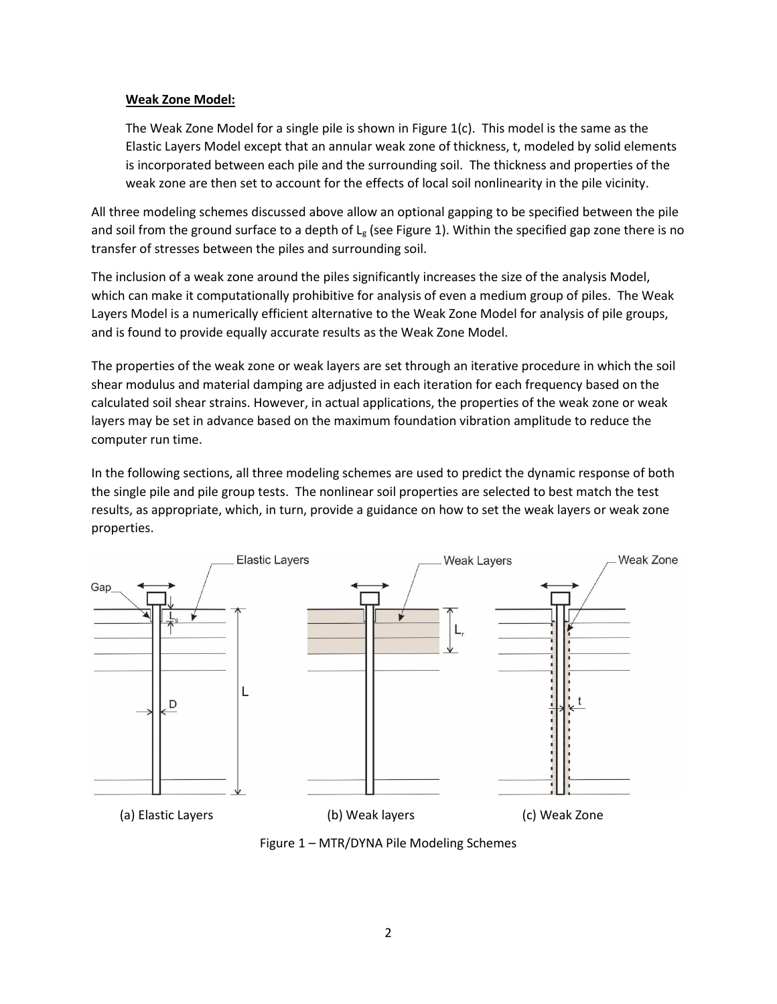## **Weak Zone Model:**

The Weak Zone Model for a single pile is shown in Figure  $1(c)$ . This model is the same as the Elastic Layers Model except that an annular weak zone of thickness, t, modeled by solid elements is incorporated between each pile and the surrounding soil. The thickness and properties of the weak zone are then set to account for the effects of local soil nonlinearity in the pile vicinity.

All three modeling schemes discussed above allow an optional gapping to be specified between the pile and soil from the ground surface to a depth of  $L_g$  (see Figure 1). Within the specified gap zone there is no transfer of stresses between the piles and surrounding soil.

The inclusion of a weak zone around the piles significantly increases the size of the analysis Model, which can make it computationally prohibitive for analysis of even a medium group of piles. The Weak Layers Model is a numerically efficient alternative to the Weak Zone Model for analysis of pile groups, and is found to provide equally accurate results as the Weak Zone Model.

The properties of the weak zone or weak layers are set through an iterative procedure in which the soil shear modulus and material damping are adjusted in each iteration for each frequency based on the calculated soil shear strains. However, in actual applications, the properties of the weak zone or weak layers may be set in advance based on the maximum foundation vibration amplitude to reduce the computer run time.

In the following sections, all three modeling schemes are used to predict the dynamic response of both the single pile and pile group tests. The nonlinear soil properties are selected to best match the test results, as appropriate, which, in turn, provide a guidance on how to set the weak layers or weak zone properties.



Figure 1 – MTR/DYNA Pile Modeling Schemes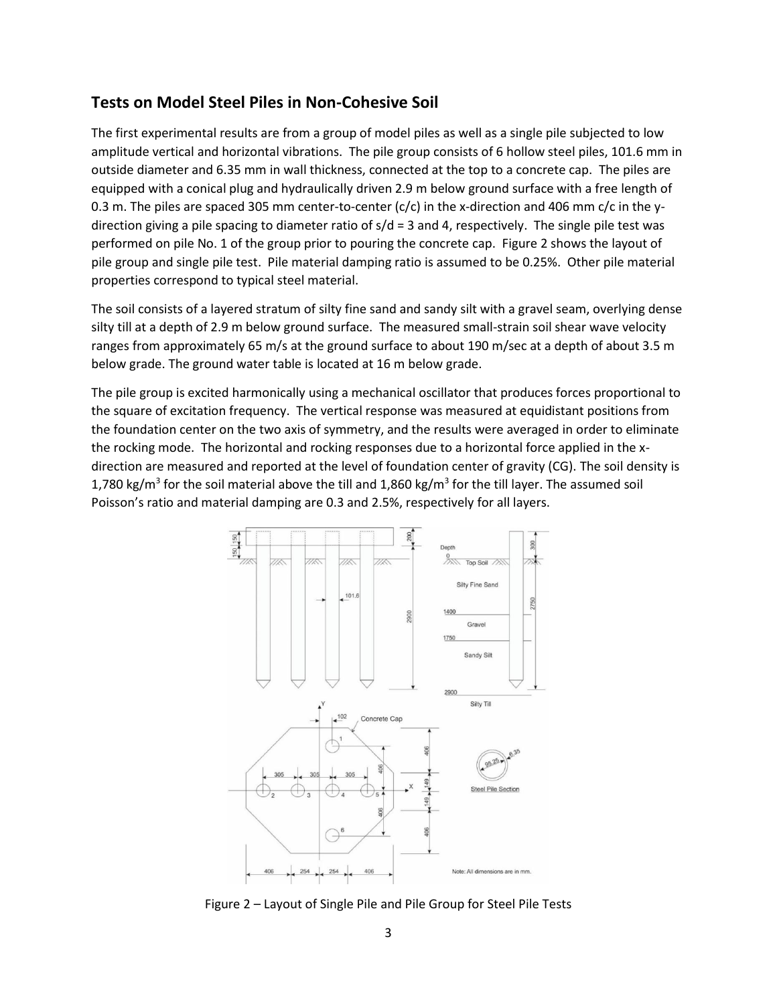## **Tests on Model Steel Piles in Non-Cohesive Soil**

The first experimental results are from a group of model piles as well as a single pile subjected to low amplitude vertical and horizontal vibrations. The pile group consists of 6 hollow steel piles, 101.6 mm in outside diameter and 6.35 mm in wall thickness, connected at the top to a concrete cap. The piles are equipped with a conical plug and hydraulically driven 2.9 m below ground surface with a free length of 0.3 m. The piles are spaced 305 mm center-to-center (c/c) in the x-direction and 406 mm c/c in the ydirection giving a pile spacing to diameter ratio of  $s/d = 3$  and 4, respectively. The single pile test was performed on pile No. 1 of the group prior to pouring the concrete cap. Figure 2 shows the layout of pile group and single pile test. Pile material damping ratio is assumed to be 0.25%. Other pile material properties correspond to typical steel material.

The soil consists of a layered stratum of silty fine sand and sandy silt with a gravel seam, overlying dense silty till at a depth of 2.9 m below ground surface. The measured small-strain soil shear wave velocity ranges from approximately 65 m/s at the ground surface to about 190 m/sec at a depth of about 3.5 m below grade. The ground water table is located at 16 m below grade.

The pile group is excited harmonically using a mechanical oscillator that produces forces proportional to the square of excitation frequency. The vertical response was measured at equidistant positions from the foundation center on the two axis of symmetry, and the results were averaged in order to eliminate the rocking mode. The horizontal and rocking responses due to a horizontal force applied in the xdirection are measured and reported at the level of foundation center of gravity (CG). The soil density is 1,780 kg/m<sup>3</sup> for the soil material above the till and 1,860 kg/m<sup>3</sup> for the till layer. The assumed soil Poisson's ratio and material damping are 0.3 and 2.5%, respectively for all layers.



Figure 2 – Layout of Single Pile and Pile Group for Steel Pile Tests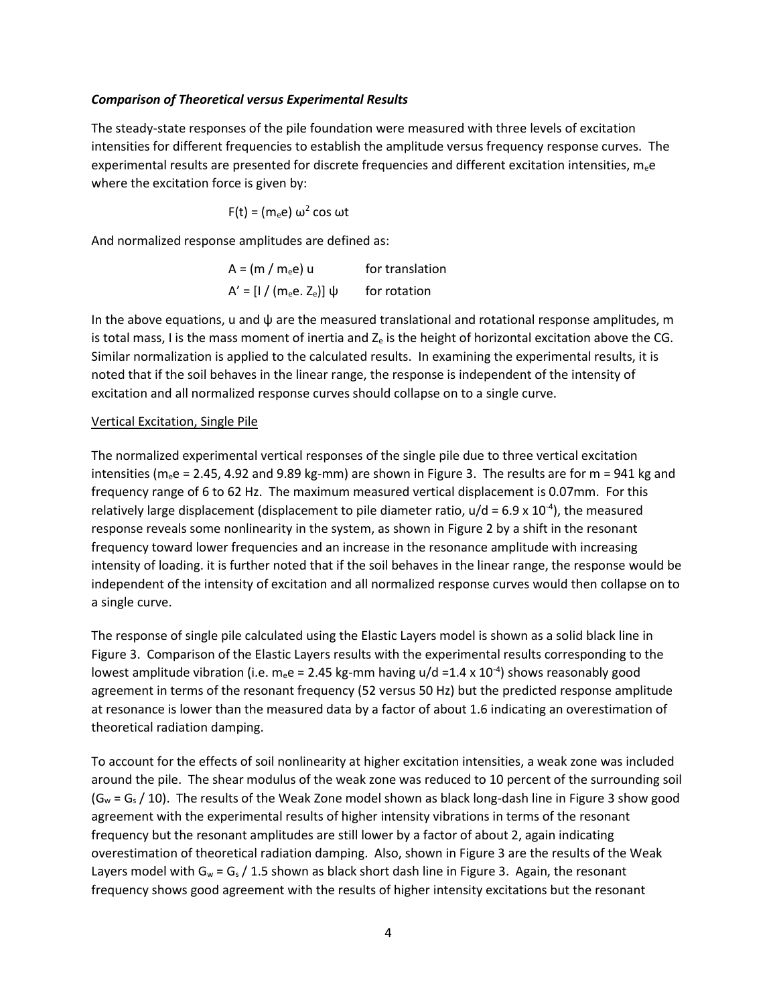#### *Comparison of Theoretical versus Experimental Results*

The steady-state responses of the pile foundation were measured with three levels of excitation intensities for different frequencies to establish the amplitude versus frequency response curves. The experimental results are presented for discrete frequencies and different excitation intensities,  $m_{e}e$ where the excitation force is given by:

$$
F(t) = (m_e e) \omega^2 \cos \omega t
$$

And normalized response amplitudes are defined as:

$$
A = (m / m_e e) u
$$
 for translation  

$$
A' = [1 / (m_e e. Z_e)] \psi
$$
 for rotation

In the above equations, u and  $\psi$  are the measured translational and rotational response amplitudes, m is total mass, I is the mass moment of inertia and  $Z_e$  is the height of horizontal excitation above the CG. Similar normalization is applied to the calculated results. In examining the experimental results, it is noted that if the soil behaves in the linear range, the response is independent of the intensity of excitation and all normalized response curves should collapse on to a single curve.

#### Vertical Excitation, Single Pile

The normalized experimental vertical responses of the single pile due to three vertical excitation intensities ( $m_e$ e = 2.45, 4.92 and 9.89 kg-mm) are shown in Figure 3. The results are for  $m = 941$  kg and frequency range of 6 to 62 Hz. The maximum measured vertical displacement is 0.07mm. For this relatively large displacement (displacement to pile diameter ratio,  $u/d = 6.9 \times 10^{-4}$ ), the measured response reveals some nonlinearity in the system, as shown in Figure 2 by a shift in the resonant frequency toward lower frequencies and an increase in the resonance amplitude with increasing intensity of loading. it is further noted that if the soil behaves in the linear range, the response would be independent of the intensity of excitation and all normalized response curves would then collapse on to a single curve.

The response of single pile calculated using the Elastic Layers model is shown as a solid black line in Figure 3. Comparison of the Elastic Layers results with the experimental results corresponding to the lowest amplitude vibration (i.e.  $m_e e = 2.45$  kg-mm having u/d =1.4 x 10<sup>-4</sup>) shows reasonably good agreement in terms of the resonant frequency (52 versus 50 Hz) but the predicted response amplitude at resonance is lower than the measured data by a factor of about 1.6 indicating an overestimation of theoretical radiation damping.

To account for the effects of soil nonlinearity at higher excitation intensities, a weak zone was included around the pile. The shear modulus of the weak zone was reduced to 10 percent of the surrounding soil  $(G_w = G_s / 10)$ . The results of the Weak Zone model shown as black long-dash line in Figure 3 show good agreement with the experimental results of higher intensity vibrations in terms of the resonant frequency but the resonant amplitudes are still lower by a factor of about 2, again indicating overestimation of theoretical radiation damping. Also, shown in Figure 3 are the results of the Weak Layers model with  $G_w = G_s / 1.5$  shown as black short dash line in Figure 3. Again, the resonant frequency shows good agreement with the results of higher intensity excitations but the resonant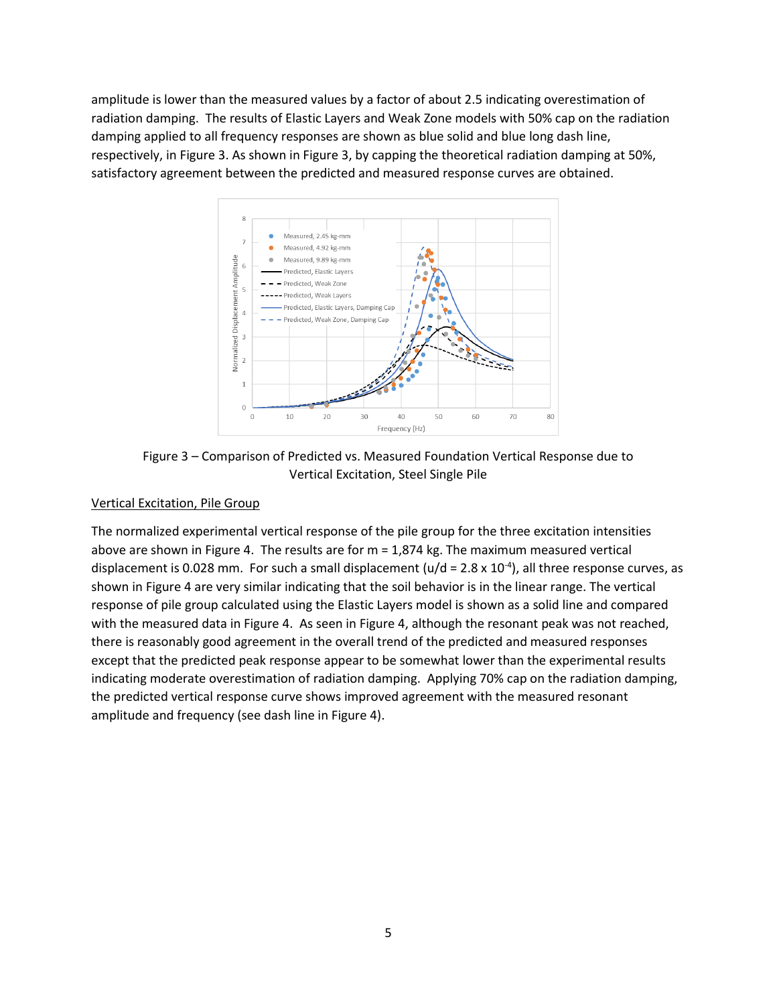amplitude is lower than the measured values by a factor of about 2.5 indicating overestimation of radiation damping. The results of Elastic Layers and Weak Zone models with 50% cap on the radiation damping applied to all frequency responses are shown as blue solid and blue long dash line, respectively, in Figure 3. As shown in Figure 3, by capping the theoretical radiation damping at 50%, satisfactory agreement between the predicted and measured response curves are obtained.



Figure 3 – Comparison of Predicted vs. Measured Foundation Vertical Response due to Vertical Excitation, Steel Single Pile

### Vertical Excitation, Pile Group

The normalized experimental vertical response of the pile group for the three excitation intensities above are shown in Figure 4. The results are for m = 1,874 kg. The maximum measured vertical displacement is 0.028 mm. For such a small displacement (u/d = 2.8 x 10<sup>-4</sup>), all three response curves, as shown in Figure 4 are very similar indicating that the soil behavior is in the linear range. The vertical response of pile group calculated using the Elastic Layers model is shown as a solid line and compared with the measured data in Figure 4. As seen in Figure 4, although the resonant peak was not reached, there is reasonably good agreement in the overall trend of the predicted and measured responses except that the predicted peak response appear to be somewhat lower than the experimental results indicating moderate overestimation of radiation damping. Applying 70% cap on the radiation damping, the predicted vertical response curve shows improved agreement with the measured resonant amplitude and frequency (see dash line in Figure 4).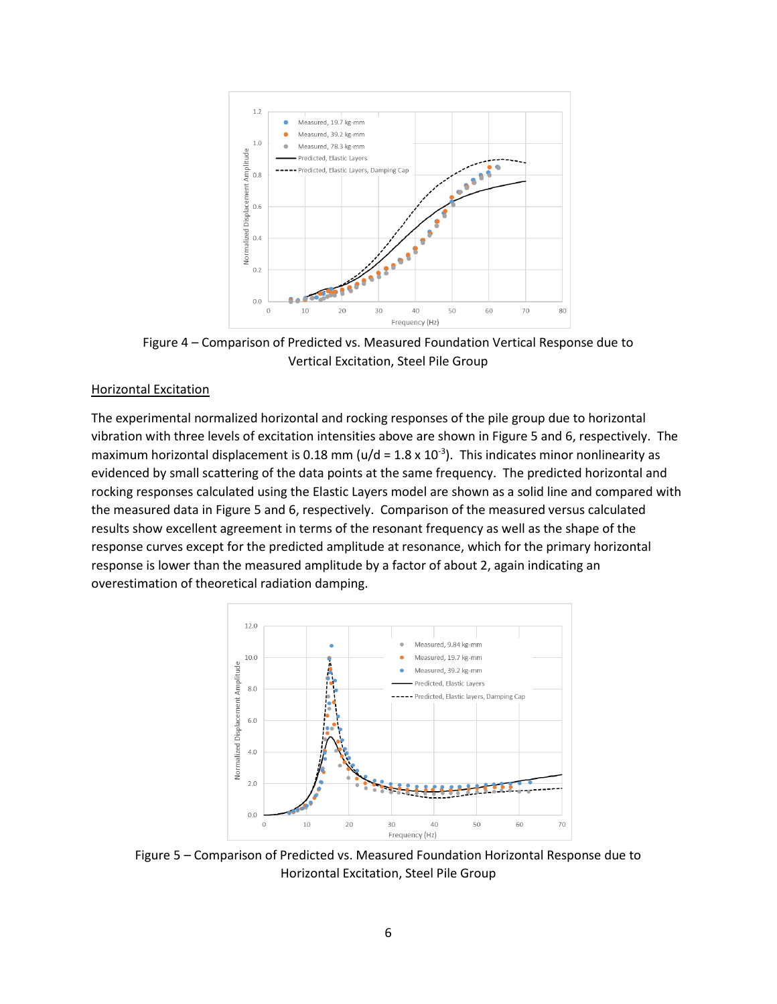

Figure 4 – Comparison of Predicted vs. Measured Foundation Vertical Response due to Vertical Excitation, Steel Pile Group

#### Horizontal Excitation

The experimental normalized horizontal and rocking responses of the pile group due to horizontal vibration with three levels of excitation intensities above are shown in Figure 5 and 6, respectively. The maximum horizontal displacement is 0.18 mm ( $u/d = 1.8 \times 10^{-3}$ ). This indicates minor nonlinearity as evidenced by small scattering of the data points at the same frequency. The predicted horizontal and rocking responses calculated using the Elastic Layers model are shown as a solid line and compared with the measured data in Figure 5 and 6, respectively. Comparison of the measured versus calculated results show excellent agreement in terms of the resonant frequency as well as the shape of the response curves except for the predicted amplitude at resonance, which for the primary horizontal response is lower than the measured amplitude by a factor of about 2, again indicating an overestimation of theoretical radiation damping.



Figure 5 – Comparison of Predicted vs. Measured Foundation Horizontal Response due to Horizontal Excitation, Steel Pile Group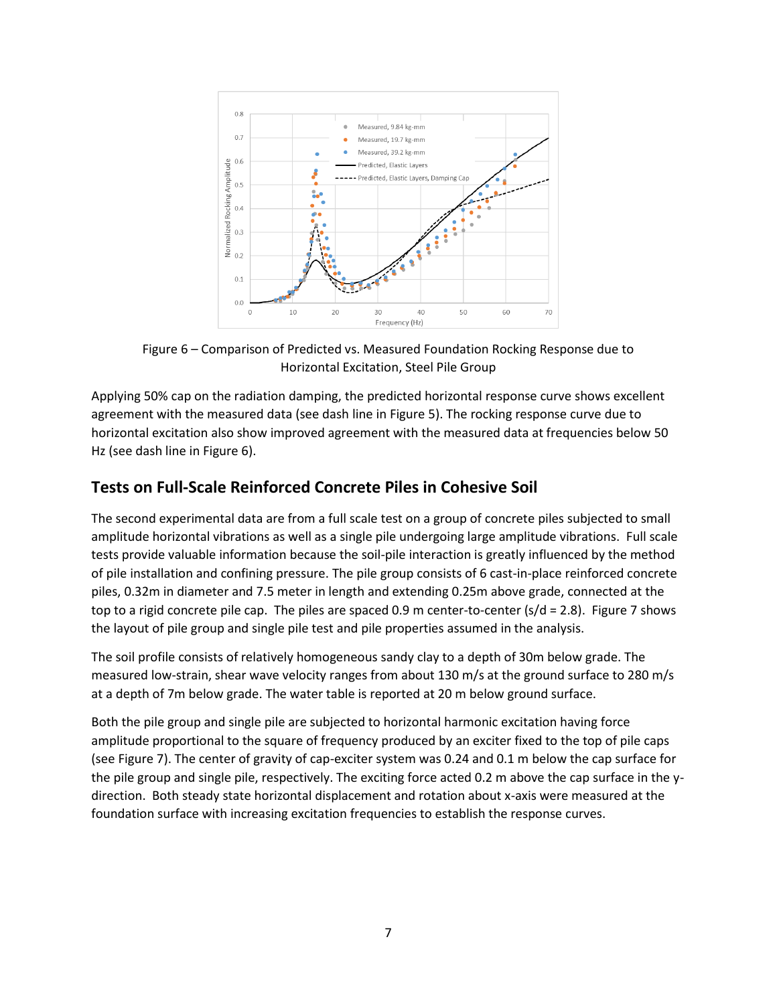

Figure 6 – Comparison of Predicted vs. Measured Foundation Rocking Response due to Horizontal Excitation, Steel Pile Group

Applying 50% cap on the radiation damping, the predicted horizontal response curve shows excellent agreement with the measured data (see dash line in Figure 5). The rocking response curve due to horizontal excitation also show improved agreement with the measured data at frequencies below 50 Hz (see dash line in Figure 6).

# **Tests on Full-Scale Reinforced Concrete Piles in Cohesive Soil**

The second experimental data are from a full scale test on a group of concrete piles subjected to small amplitude horizontal vibrations as well as a single pile undergoing large amplitude vibrations. Full scale tests provide valuable information because the soil-pile interaction is greatly influenced by the method of pile installation and confining pressure. The pile group consists of 6 cast-in-place reinforced concrete piles, 0.32m in diameter and 7.5 meter in length and extending 0.25m above grade, connected at the top to a rigid concrete pile cap. The piles are spaced 0.9 m center-to-center ( $s/d = 2.8$ ). Figure 7 shows the layout of pile group and single pile test and pile properties assumed in the analysis.

The soil profile consists of relatively homogeneous sandy clay to a depth of 30m below grade. The measured low-strain, shear wave velocity ranges from about 130 m/s at the ground surface to 280 m/s at a depth of 7m below grade. The water table is reported at 20 m below ground surface.

Both the pile group and single pile are subjected to horizontal harmonic excitation having force amplitude proportional to the square of frequency produced by an exciter fixed to the top of pile caps (see Figure 7). The center of gravity of cap-exciter system was 0.24 and 0.1 m below the cap surface for the pile group and single pile, respectively. The exciting force acted 0.2 m above the cap surface in the ydirection. Both steady state horizontal displacement and rotation about x-axis were measured at the foundation surface with increasing excitation frequencies to establish the response curves.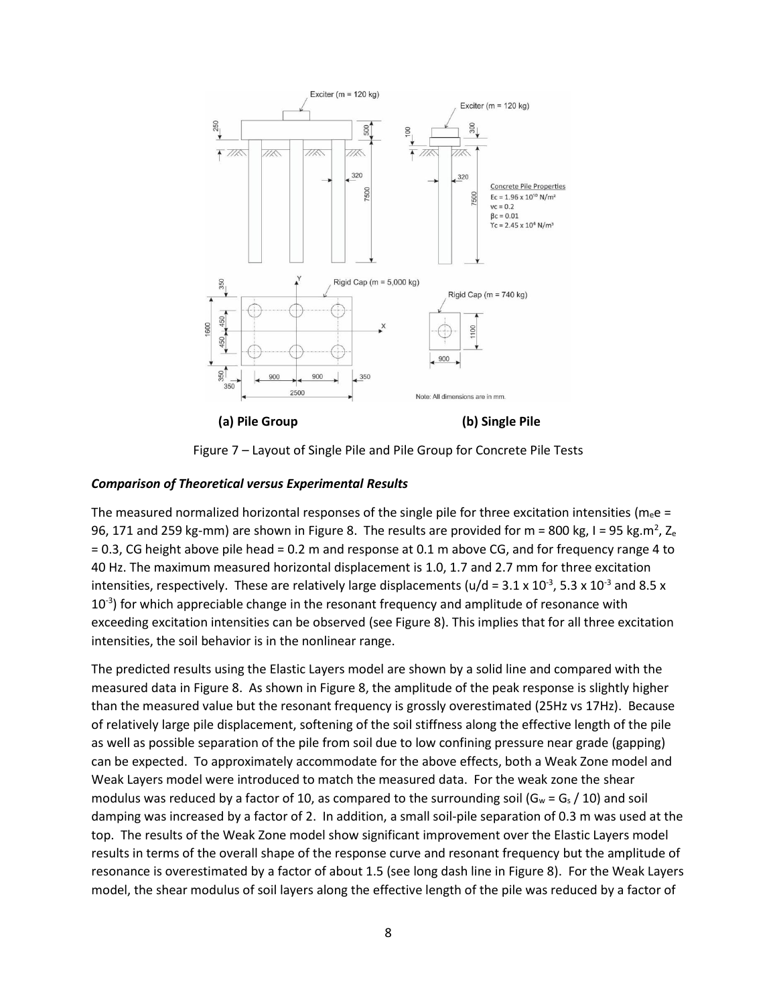

Figure 7 – Layout of Single Pile and Pile Group for Concrete Pile Tests

#### *Comparison of Theoretical versus Experimental Results*

The measured normalized horizontal responses of the single pile for three excitation intensities ( $m_e e =$ 96, 171 and 259 kg-mm) are shown in Figure 8. The results are provided for m = 800 kg, I = 95 kg.m<sup>2</sup>, Z<sub>e</sub> = 0.3, CG height above pile head = 0.2 m and response at 0.1 m above CG, and for frequency range 4 to 40 Hz. The maximum measured horizontal displacement is 1.0, 1.7 and 2.7 mm for three excitation intensities, respectively. These are relatively large displacements (u/d = 3.1 x 10<sup>-3</sup>, 5.3 x 10<sup>-3</sup> and 8.5 x  $10<sup>-3</sup>$ ) for which appreciable change in the resonant frequency and amplitude of resonance with exceeding excitation intensities can be observed (see Figure 8). This implies that for all three excitation intensities, the soil behavior is in the nonlinear range.

The predicted results using the Elastic Layers model are shown by a solid line and compared with the measured data in Figure 8. As shown in Figure 8, the amplitude of the peak response is slightly higher than the measured value but the resonant frequency is grossly overestimated (25Hz vs 17Hz). Because of relatively large pile displacement, softening of the soil stiffness along the effective length of the pile as well as possible separation of the pile from soil due to low confining pressure near grade (gapping) can be expected. To approximately accommodate for the above effects, both a Weak Zone model and Weak Layers model were introduced to match the measured data. For the weak zone the shear modulus was reduced by a factor of 10, as compared to the surrounding soil ( $G_w = G_s / 10$ ) and soil damping was increased by a factor of 2. In addition, a small soil-pile separation of 0.3 m was used at the top. The results of the Weak Zone model show significant improvement over the Elastic Layers model results in terms of the overall shape of the response curve and resonant frequency but the amplitude of resonance is overestimated by a factor of about 1.5 (see long dash line in Figure 8). For the Weak Layers model, the shear modulus of soil layers along the effective length of the pile was reduced by a factor of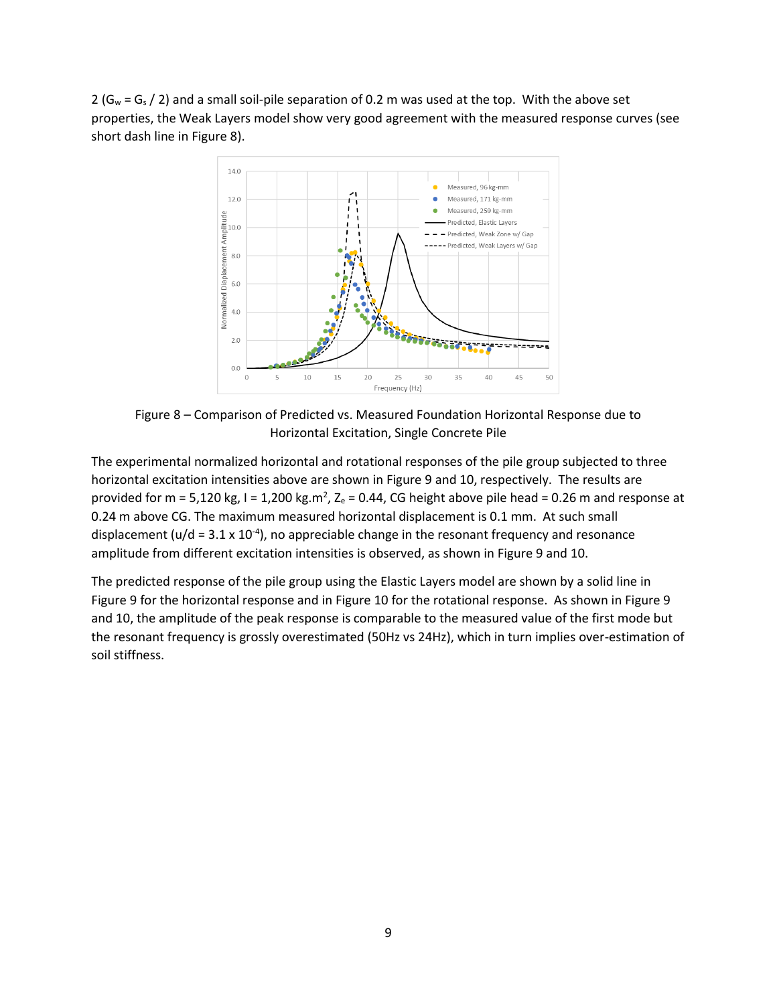2 ( $G_w = G_s$  / 2) and a small soil-pile separation of 0.2 m was used at the top. With the above set properties, the Weak Layers model show very good agreement with the measured response curves (see short dash line in Figure 8).



Figure 8 – Comparison of Predicted vs. Measured Foundation Horizontal Response due to Horizontal Excitation, Single Concrete Pile

The experimental normalized horizontal and rotational responses of the pile group subjected to three horizontal excitation intensities above are shown in Figure 9 and 10, respectively. The results are provided for m = 5,120 kg, I = 1,200 kg.m<sup>2</sup>, Z<sub>e</sub> = 0.44, CG height above pile head = 0.26 m and response at 0.24 m above CG. The maximum measured horizontal displacement is 0.1 mm. At such small displacement ( $u/d = 3.1 \times 10^{-4}$ ), no appreciable change in the resonant frequency and resonance amplitude from different excitation intensities is observed, as shown in Figure 9 and 10.

The predicted response of the pile group using the Elastic Layers model are shown by a solid line in Figure 9 for the horizontal response and in Figure 10 for the rotational response. As shown in Figure 9 and 10, the amplitude of the peak response is comparable to the measured value of the first mode but the resonant frequency is grossly overestimated (50Hz vs 24Hz), which in turn implies over-estimation of soil stiffness.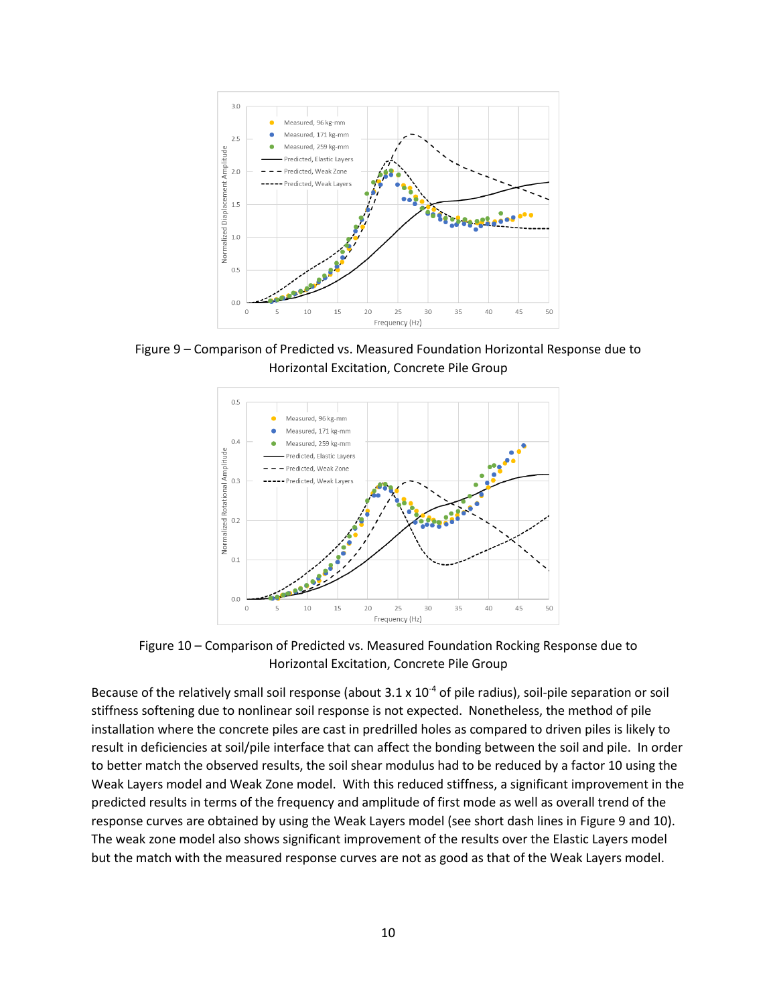

Figure 9 – Comparison of Predicted vs. Measured Foundation Horizontal Response due to Horizontal Excitation, Concrete Pile Group



Figure 10 – Comparison of Predicted vs. Measured Foundation Rocking Response due to Horizontal Excitation, Concrete Pile Group

Because of the relatively small soil response (about  $3.1 \times 10^{-4}$  of pile radius), soil-pile separation or soil stiffness softening due to nonlinear soil response is not expected. Nonetheless, the method of pile installation where the concrete piles are cast in predrilled holes as compared to driven piles is likely to result in deficiencies at soil/pile interface that can affect the bonding between the soil and pile. In order to better match the observed results, the soil shear modulus had to be reduced by a factor 10 using the Weak Layers model and Weak Zone model. With this reduced stiffness, a significant improvement in the predicted results in terms of the frequency and amplitude of first mode as well as overall trend of the response curves are obtained by using the Weak Layers model (see short dash lines in Figure 9 and 10). The weak zone model also shows significant improvement of the results over the Elastic Layers model but the match with the measured response curves are not as good as that of the Weak Layers model.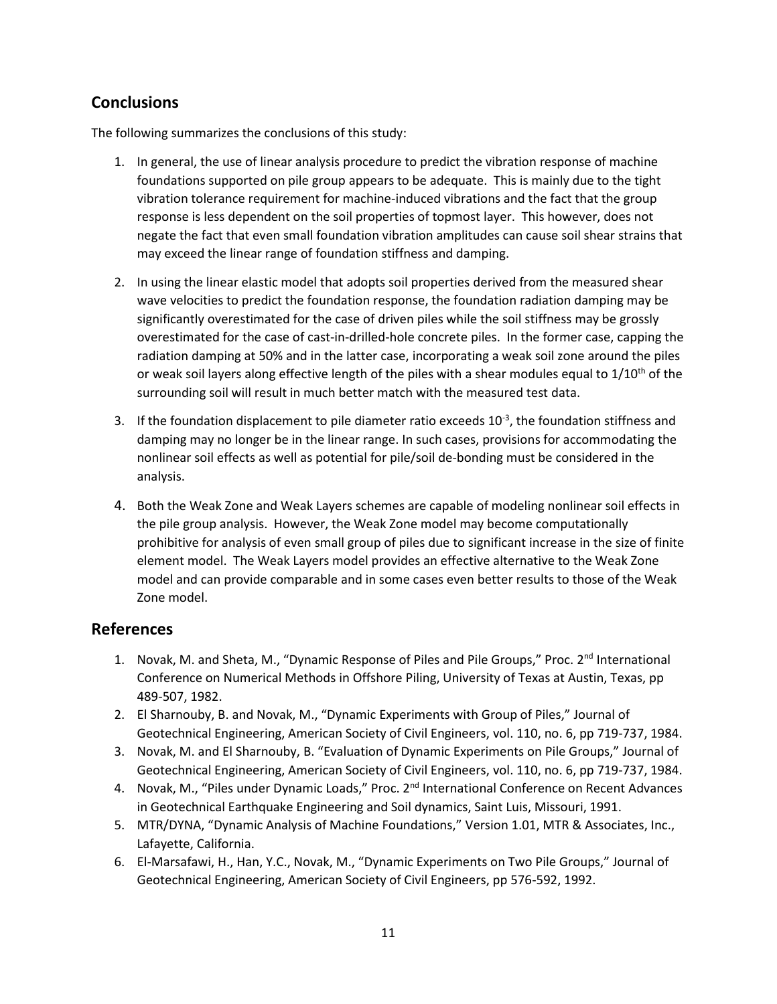# **Conclusions**

The following summarizes the conclusions of this study:

- 1. In general, the use of linear analysis procedure to predict the vibration response of machine foundations supported on pile group appears to be adequate. This is mainly due to the tight vibration tolerance requirement for machine-induced vibrations and the fact that the group response is less dependent on the soil properties of topmost layer. This however, does not negate the fact that even small foundation vibration amplitudes can cause soil shear strains that may exceed the linear range of foundation stiffness and damping.
- 2. In using the linear elastic model that adopts soil properties derived from the measured shear wave velocities to predict the foundation response, the foundation radiation damping may be significantly overestimated for the case of driven piles while the soil stiffness may be grossly overestimated for the case of cast-in-drilled-hole concrete piles. In the former case, capping the radiation damping at 50% and in the latter case, incorporating a weak soil zone around the piles or weak soil layers along effective length of the piles with a shear modules equal to  $1/10^{th}$  of the surrounding soil will result in much better match with the measured test data.
- 3. If the foundation displacement to pile diameter ratio exceeds  $10^{-3}$ , the foundation stiffness and damping may no longer be in the linear range. In such cases, provisions for accommodating the nonlinear soil effects as well as potential for pile/soil de-bonding must be considered in the analysis.
- 4. Both the Weak Zone and Weak Layers schemes are capable of modeling nonlinear soil effects in the pile group analysis. However, the Weak Zone model may become computationally prohibitive for analysis of even small group of piles due to significant increase in the size of finite element model. The Weak Layers model provides an effective alternative to the Weak Zone model and can provide comparable and in some cases even better results to those of the Weak Zone model.

## **References**

- 1. Novak, M. and Sheta, M., "Dynamic Response of Piles and Pile Groups," Proc. 2<sup>nd</sup> International Conference on Numerical Methods in Offshore Piling, University of Texas at Austin, Texas, pp 489-507, 1982.
- 2. El Sharnouby, B. and Novak, M., "Dynamic Experiments with Group of Piles," Journal of Geotechnical Engineering, American Society of Civil Engineers, vol. 110, no. 6, pp 719-737, 1984.
- 3. Novak, M. and El Sharnouby, B. "Evaluation of Dynamic Experiments on Pile Groups," Journal of Geotechnical Engineering, American Society of Civil Engineers, vol. 110, no. 6, pp 719-737, 1984.
- 4. Novak, M., "Piles under Dynamic Loads," Proc. 2<sup>nd</sup> International Conference on Recent Advances in Geotechnical Earthquake Engineering and Soil dynamics, Saint Luis, Missouri, 1991.
- 5. MTR/DYNA, "Dynamic Analysis of Machine Foundations," Version 1.01, MTR & Associates, Inc., Lafayette, California.
- 6. El-Marsafawi, H., Han, Y.C., Novak, M., "Dynamic Experiments on Two Pile Groups," Journal of Geotechnical Engineering, American Society of Civil Engineers, pp 576-592, 1992.